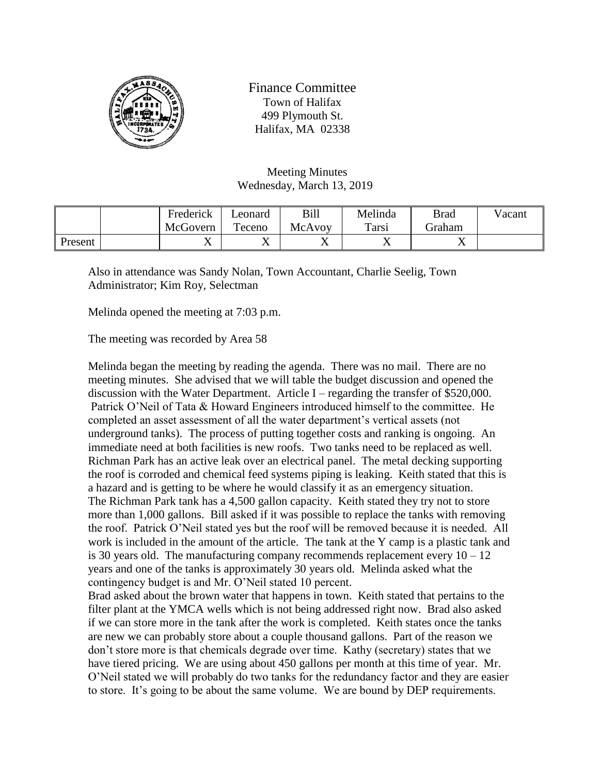

Finance Committee Town of Halifax 499 Plymouth St. Halifax, MA 02338

Meeting Minutes Wednesday, March 13, 2019

|         | Frederick | ∟eonard | Bill   | Melinda        | <b>Brad</b> | Vacant |
|---------|-----------|---------|--------|----------------|-------------|--------|
|         | McGovern  | Teceno  | McAvoy | Tarsi          | Graham      |        |
| Present | ∡⊾        | ∡⊾      | ∡ ⊾    | $\overline{ }$ | ∡           |        |

Also in attendance was Sandy Nolan, Town Accountant, Charlie Seelig, Town Administrator; Kim Roy, Selectman

Melinda opened the meeting at 7:03 p.m.

The meeting was recorded by Area 58

Melinda began the meeting by reading the agenda. There was no mail. There are no meeting minutes. She advised that we will table the budget discussion and opened the discussion with the Water Department. Article I – regarding the transfer of \$520,000. Patrick O'Neil of Tata & Howard Engineers introduced himself to the committee. He completed an asset assessment of all the water department's vertical assets (not underground tanks). The process of putting together costs and ranking is ongoing. An immediate need at both facilities is new roofs. Two tanks need to be replaced as well. Richman Park has an active leak over an electrical panel. The metal decking supporting the roof is corroded and chemical feed systems piping is leaking. Keith stated that this is a hazard and is getting to be where he would classify it as an emergency situation. The Richman Park tank has a 4,500 gallon capacity. Keith stated they try not to store more than 1,000 gallons. Bill asked if it was possible to replace the tanks with removing the roof. Patrick O'Neil stated yes but the roof will be removed because it is needed. All work is included in the amount of the article. The tank at the Y camp is a plastic tank and is 30 years old. The manufacturing company recommends replacement every  $10 - 12$ years and one of the tanks is approximately 30 years old. Melinda asked what the contingency budget is and Mr. O'Neil stated 10 percent.

Brad asked about the brown water that happens in town. Keith stated that pertains to the filter plant at the YMCA wells which is not being addressed right now. Brad also asked if we can store more in the tank after the work is completed. Keith states once the tanks are new we can probably store about a couple thousand gallons. Part of the reason we don't store more is that chemicals degrade over time. Kathy (secretary) states that we have tiered pricing. We are using about 450 gallons per month at this time of year. Mr. O'Neil stated we will probably do two tanks for the redundancy factor and they are easier to store. It's going to be about the same volume. We are bound by DEP requirements.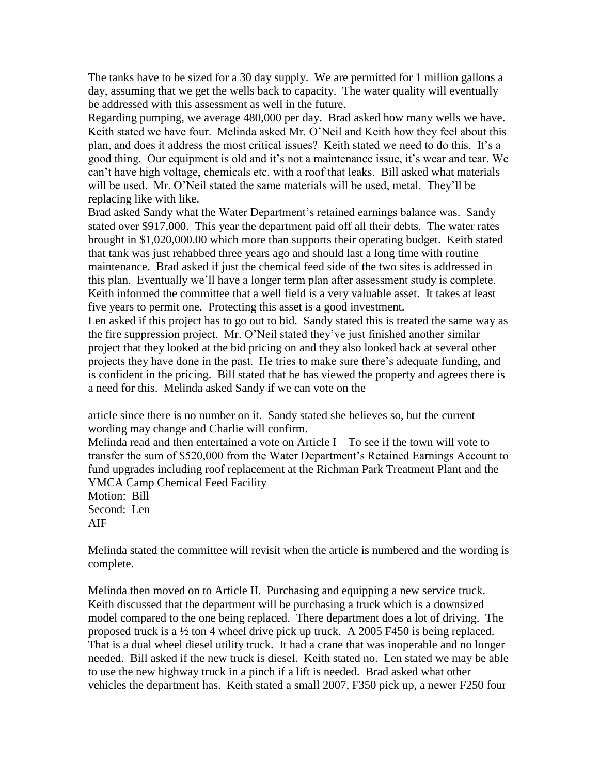The tanks have to be sized for a 30 day supply. We are permitted for 1 million gallons a day, assuming that we get the wells back to capacity. The water quality will eventually be addressed with this assessment as well in the future.

Regarding pumping, we average 480,000 per day. Brad asked how many wells we have. Keith stated we have four. Melinda asked Mr. O'Neil and Keith how they feel about this plan, and does it address the most critical issues? Keith stated we need to do this. It's a good thing. Our equipment is old and it's not a maintenance issue, it's wear and tear. We can't have high voltage, chemicals etc. with a roof that leaks. Bill asked what materials will be used. Mr. O'Neil stated the same materials will be used, metal. They'll be replacing like with like.

Brad asked Sandy what the Water Department's retained earnings balance was. Sandy stated over \$917,000. This year the department paid off all their debts. The water rates brought in \$1,020,000.00 which more than supports their operating budget. Keith stated that tank was just rehabbed three years ago and should last a long time with routine maintenance. Brad asked if just the chemical feed side of the two sites is addressed in this plan. Eventually we'll have a longer term plan after assessment study is complete. Keith informed the committee that a well field is a very valuable asset. It takes at least five years to permit one. Protecting this asset is a good investment.

Len asked if this project has to go out to bid. Sandy stated this is treated the same way as the fire suppression project. Mr. O'Neil stated they've just finished another similar project that they looked at the bid pricing on and they also looked back at several other projects they have done in the past. He tries to make sure there's adequate funding, and is confident in the pricing. Bill stated that he has viewed the property and agrees there is a need for this. Melinda asked Sandy if we can vote on the

article since there is no number on it. Sandy stated she believes so, but the current wording may change and Charlie will confirm.

Melinda read and then entertained a vote on Article  $I - To$  see if the town will vote to transfer the sum of \$520,000 from the Water Department's Retained Earnings Account to fund upgrades including roof replacement at the Richman Park Treatment Plant and the YMCA Camp Chemical Feed Facility

Motion: Bill Second: Len AIF

Melinda stated the committee will revisit when the article is numbered and the wording is complete.

Melinda then moved on to Article II. Purchasing and equipping a new service truck. Keith discussed that the department will be purchasing a truck which is a downsized model compared to the one being replaced. There department does a lot of driving. The proposed truck is a ½ ton 4 wheel drive pick up truck. A 2005 F450 is being replaced. That is a dual wheel diesel utility truck. It had a crane that was inoperable and no longer needed. Bill asked if the new truck is diesel. Keith stated no. Len stated we may be able to use the new highway truck in a pinch if a lift is needed. Brad asked what other vehicles the department has. Keith stated a small 2007, F350 pick up, a newer F250 four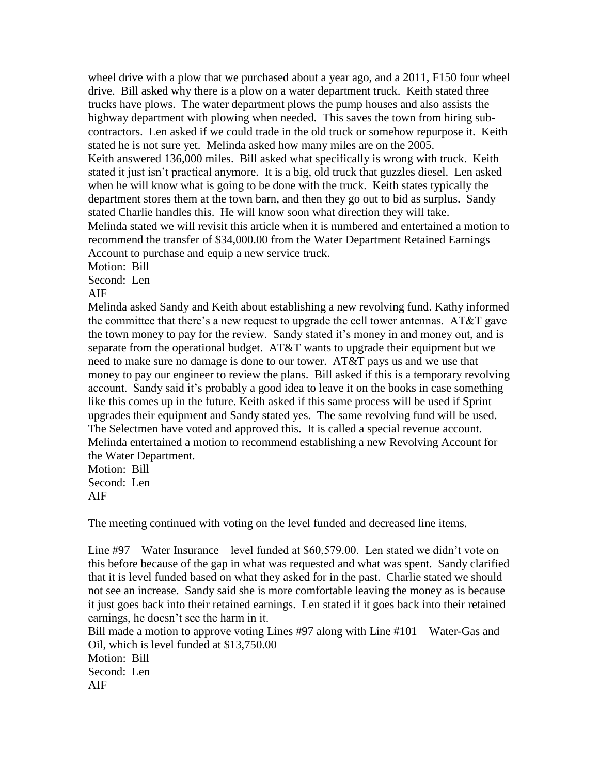wheel drive with a plow that we purchased about a year ago, and a 2011, F150 four wheel drive. Bill asked why there is a plow on a water department truck. Keith stated three trucks have plows. The water department plows the pump houses and also assists the highway department with plowing when needed. This saves the town from hiring subcontractors. Len asked if we could trade in the old truck or somehow repurpose it. Keith stated he is not sure yet. Melinda asked how many miles are on the 2005. Keith answered 136,000 miles. Bill asked what specifically is wrong with truck. Keith stated it just isn't practical anymore. It is a big, old truck that guzzles diesel. Len asked when he will know what is going to be done with the truck. Keith states typically the department stores them at the town barn, and then they go out to bid as surplus. Sandy stated Charlie handles this. He will know soon what direction they will take. Melinda stated we will revisit this article when it is numbered and entertained a motion to recommend the transfer of \$34,000.00 from the Water Department Retained Earnings Account to purchase and equip a new service truck.

Motion: Bill

Second: Len

AIF

Melinda asked Sandy and Keith about establishing a new revolving fund. Kathy informed the committee that there's a new request to upgrade the cell tower antennas. AT&T gave the town money to pay for the review. Sandy stated it's money in and money out, and is separate from the operational budget. AT&T wants to upgrade their equipment but we need to make sure no damage is done to our tower. AT&T pays us and we use that money to pay our engineer to review the plans. Bill asked if this is a temporary revolving account. Sandy said it's probably a good idea to leave it on the books in case something like this comes up in the future. Keith asked if this same process will be used if Sprint upgrades their equipment and Sandy stated yes. The same revolving fund will be used. The Selectmen have voted and approved this. It is called a special revenue account. Melinda entertained a motion to recommend establishing a new Revolving Account for the Water Department.

Motion: Bill Second: Len AIF

The meeting continued with voting on the level funded and decreased line items.

Line #97 – Water Insurance – level funded at \$60,579.00. Len stated we didn't vote on this before because of the gap in what was requested and what was spent. Sandy clarified that it is level funded based on what they asked for in the past. Charlie stated we should not see an increase. Sandy said she is more comfortable leaving the money as is because it just goes back into their retained earnings. Len stated if it goes back into their retained earnings, he doesn't see the harm in it.

Bill made a motion to approve voting Lines #97 along with Line #101 – Water-Gas and Oil, which is level funded at \$13,750.00 Motion: Bill Second: Len AIF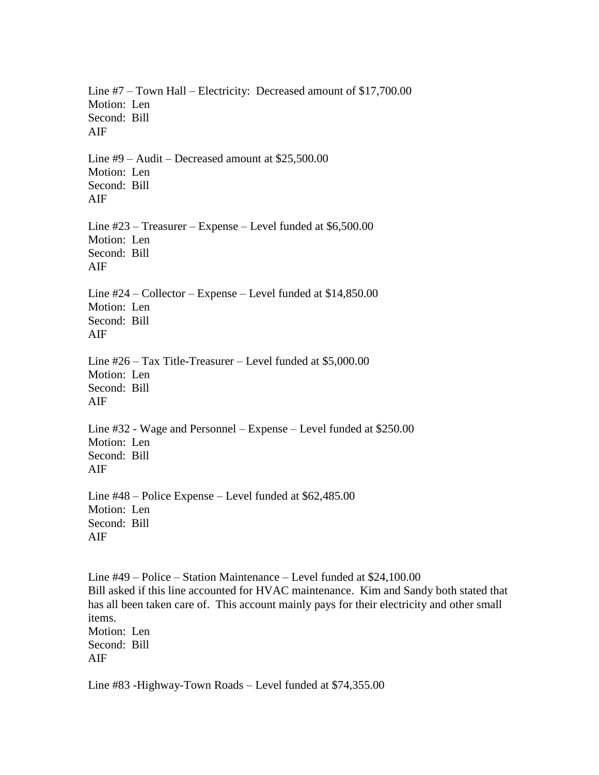Line #7 – Town Hall – Electricity: Decreased amount of \$17,700.00 Motion: Len Second: Bill AIF Line #9 – Audit – Decreased amount at \$25,500.00 Motion: Len Second: Bill AIF Line #23 – Treasurer – Expense – Level funded at \$6,500.00 Motion: Len Second: Bill AIF Line #24 – Collector – Expense – Level funded at \$14,850.00 Motion: Len Second: Bill AIF Line #26 – Tax Title-Treasurer – Level funded at \$5,000.00 Motion: Len Second: Bill AIF Line #32 - Wage and Personnel – Expense – Level funded at \$250.00 Motion: Len Second: Bill AIF Line #48 – Police Expense – Level funded at \$62,485.00 Motion: Len Second: Bill AIF

Line #49 – Police – Station Maintenance – Level funded at \$24,100.00 Bill asked if this line accounted for HVAC maintenance. Kim and Sandy both stated that has all been taken care of. This account mainly pays for their electricity and other small items. Motion: Len Second: Bill AIF

Line #83 -Highway-Town Roads – Level funded at \$74,355.00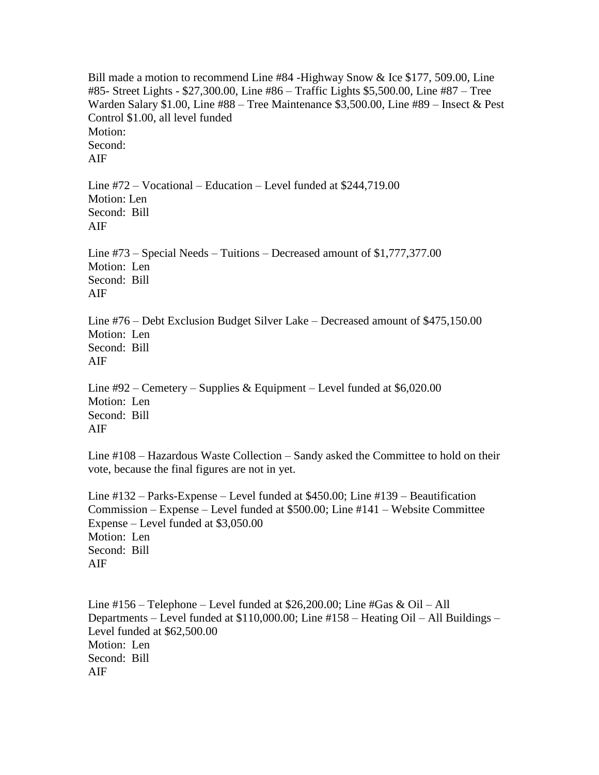Bill made a motion to recommend Line #84 -Highway Snow & Ice \$177, 509.00, Line #85- Street Lights - \$27,300.00, Line #86 – Traffic Lights \$5,500.00, Line #87 – Tree Warden Salary \$1.00, Line #88 – Tree Maintenance \$3,500.00, Line #89 – Insect & Pest Control \$1.00, all level funded Motion: Second: AIF Line #72 – Vocational – Education – Level funded at \$244,719.00 Motion: Len Second: Bill AIF Line #73 – Special Needs – Tuitions – Decreased amount of \$1,777,377.00 Motion: Len Second: Bill AIF Line #76 – Debt Exclusion Budget Silver Lake – Decreased amount of \$475,150.00 Motion: Len Second: Bill AIF Line #92 – Cemetery – Supplies & Equipment – Level funded at \$6,020.00 Motion: Len Second: Bill AIF

Line #108 – Hazardous Waste Collection – Sandy asked the Committee to hold on their vote, because the final figures are not in yet.

Line #132 – Parks-Expense – Level funded at \$450.00; Line #139 – Beautification Commission – Expense – Level funded at \$500.00; Line #141 – Website Committee Expense – Level funded at \$3,050.00 Motion: Len Second: Bill AIF

Line  $\#156$  – Telephone – Level funded at \$26,200.00; Line  $\#Gas \& Oil - All$ Departments – Level funded at \$110,000.00; Line #158 – Heating Oil – All Buildings – Level funded at \$62,500.00 Motion: Len Second: Bill AIF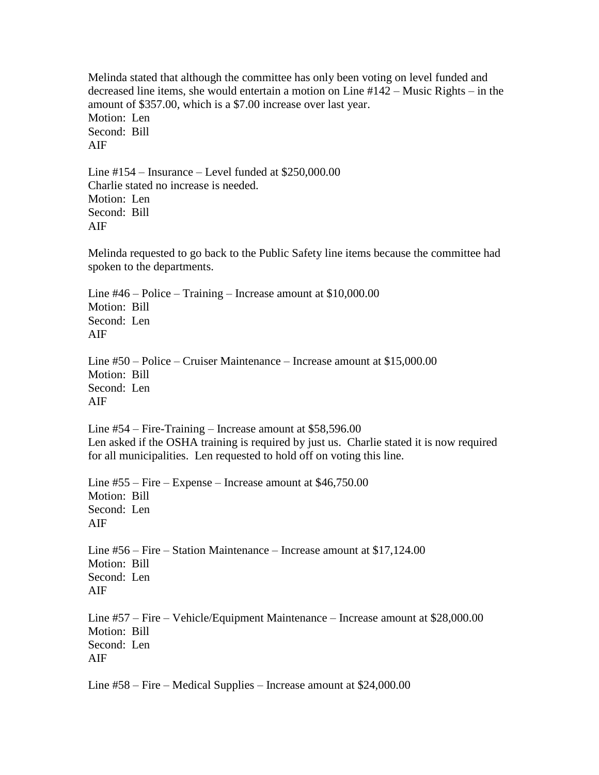Melinda stated that although the committee has only been voting on level funded and decreased line items, she would entertain a motion on Line #142 – Music Rights – in the amount of \$357.00, which is a \$7.00 increase over last year. Motion: Len Second: Bill AIF

Line #154 – Insurance – Level funded at \$250,000.00 Charlie stated no increase is needed. Motion: Len Second: Bill AIF

Melinda requested to go back to the Public Safety line items because the committee had spoken to the departments.

Line #46 – Police – Training – Increase amount at \$10,000.00 Motion: Bill Second: Len AIF

Line #50 – Police – Cruiser Maintenance – Increase amount at \$15,000.00 Motion: Bill Second: Len AIF

Line #54 – Fire-Training – Increase amount at \$58,596.00 Len asked if the OSHA training is required by just us. Charlie stated it is now required for all municipalities. Len requested to hold off on voting this line.

Line #55 – Fire – Expense – Increase amount at \$46,750.00 Motion: Bill Second: Len AIF

Line #56 – Fire – Station Maintenance – Increase amount at \$17,124.00 Motion: Bill Second: Len AIF

Line #57 – Fire – Vehicle/Equipment Maintenance – Increase amount at \$28,000.00 Motion: Bill Second: Len AIF

Line #58 – Fire – Medical Supplies – Increase amount at \$24,000.00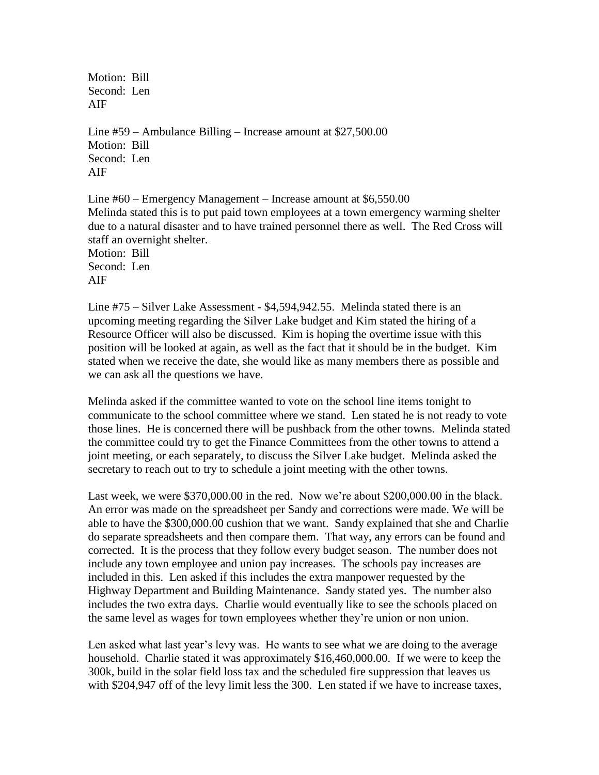Motion: Bill Second: Len AIF

Line #59 – Ambulance Billing – Increase amount at \$27,500.00 Motion: Bill Second: Len AIF

Line #60 – Emergency Management – Increase amount at \$6,550.00 Melinda stated this is to put paid town employees at a town emergency warming shelter due to a natural disaster and to have trained personnel there as well. The Red Cross will staff an overnight shelter. Motion: Bill Second: Len AIF

Line #75 – Silver Lake Assessment - \$4,594,942.55. Melinda stated there is an upcoming meeting regarding the Silver Lake budget and Kim stated the hiring of a Resource Officer will also be discussed. Kim is hoping the overtime issue with this position will be looked at again, as well as the fact that it should be in the budget. Kim stated when we receive the date, she would like as many members there as possible and we can ask all the questions we have.

Melinda asked if the committee wanted to vote on the school line items tonight to communicate to the school committee where we stand. Len stated he is not ready to vote those lines. He is concerned there will be pushback from the other towns. Melinda stated the committee could try to get the Finance Committees from the other towns to attend a joint meeting, or each separately, to discuss the Silver Lake budget. Melinda asked the secretary to reach out to try to schedule a joint meeting with the other towns.

Last week, we were \$370,000.00 in the red. Now we're about \$200,000.00 in the black. An error was made on the spreadsheet per Sandy and corrections were made. We will be able to have the \$300,000.00 cushion that we want. Sandy explained that she and Charlie do separate spreadsheets and then compare them. That way, any errors can be found and corrected. It is the process that they follow every budget season. The number does not include any town employee and union pay increases. The schools pay increases are included in this. Len asked if this includes the extra manpower requested by the Highway Department and Building Maintenance. Sandy stated yes. The number also includes the two extra days. Charlie would eventually like to see the schools placed on the same level as wages for town employees whether they're union or non union.

Len asked what last year's levy was. He wants to see what we are doing to the average household. Charlie stated it was approximately \$16,460,000.00. If we were to keep the 300k, build in the solar field loss tax and the scheduled fire suppression that leaves us with \$204,947 off of the levy limit less the 300. Len stated if we have to increase taxes,